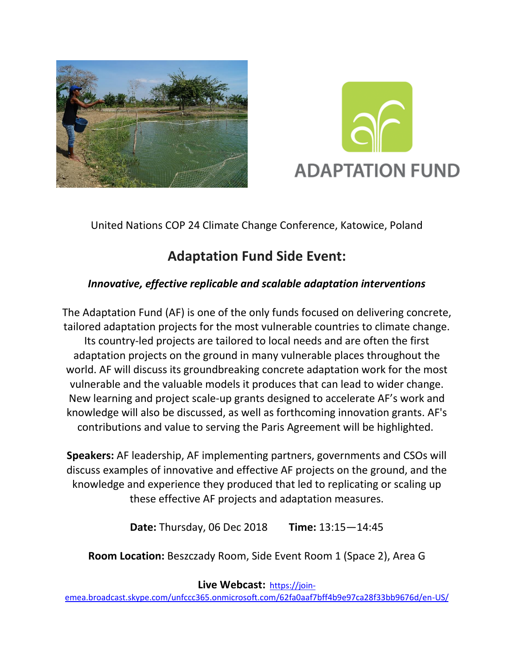



United Nations COP 24 Climate Change Conference, Katowice, Poland

## **Adaptation Fund Side Event:**

## *Innovative, effective replicable and scalable adaptation interventions*

The Adaptation Fund (AF) is one of the only funds focused on delivering concrete, tailored adaptation projects for the most vulnerable countries to climate change. Its country-led projects are tailored to local needs and are often the first adaptation projects on the ground in many vulnerable places throughout the world. AF will discuss its groundbreaking concrete adaptation work for the most vulnerable and the valuable models it produces that can lead to wider change. New learning and project scale-up grants designed to accelerate AF's work and knowledge will also be discussed, as well as forthcoming innovation grants. AF's contributions and value to serving the Paris Agreement will be highlighted.

**Speakers:** AF leadership, AF implementing partners, governments and CSOs will discuss examples of innovative and effective AF projects on the ground, and the knowledge and experience they produced that led to replicating or scaling up these effective AF projects and adaptation measures.

**Date:** Thursday, 06 Dec 2018 **Time:** 13:15—14:45

**Room Location:** Beszczady Room, Side Event Room 1 (Space 2), Area G

**Live Webcast:** [https://join-](https://join-emea.broadcast.skype.com/unfccc365.onmicrosoft.com/62fa0aaf7bff4b9e97ca28f33bb9676d/en-US/)

[emea.broadcast.skype.com/unfccc365.onmicrosoft.com/62fa0aaf7bff4b9e97ca28f33bb9676d/en-US/](https://join-emea.broadcast.skype.com/unfccc365.onmicrosoft.com/62fa0aaf7bff4b9e97ca28f33bb9676d/en-US/)